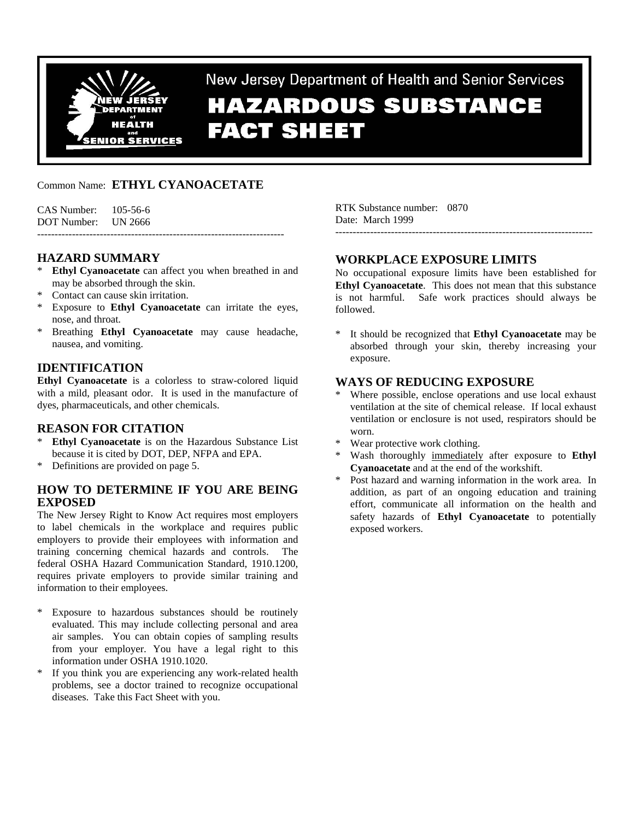

New Jersey Department of Health and Senior Services

# **HAZARDOUS SUBSTANCE FACT SHEET**

# Common Name: **ETHYL CYANOACETATE**

CAS Number: 105-56-6 DOT Number: UN 2666

-----------------------------------------------------------------------

## **HAZARD SUMMARY**

- **Ethyl Cyanoacetate** can affect you when breathed in and may be absorbed through the skin.
- Contact can cause skin irritation.
- \* Exposure to **Ethyl Cyanoacetate** can irritate the eyes, nose, and throat.
- Breathing **Ethyl Cyanoacetate** may cause headache, nausea, and vomiting.

## **IDENTIFICATION**

**Ethyl Cyanoacetate** is a colorless to straw-colored liquid with a mild, pleasant odor. It is used in the manufacture of dyes, pharmaceuticals, and other chemicals.

#### **REASON FOR CITATION**

- \* **Ethyl Cyanoacetate** is on the Hazardous Substance List because it is cited by DOT, DEP, NFPA and EPA.
- \* Definitions are provided on page 5.

## **HOW TO DETERMINE IF YOU ARE BEING EXPOSED**

The New Jersey Right to Know Act requires most employers to label chemicals in the workplace and requires public employers to provide their employees with information and training concerning chemical hazards and controls. The federal OSHA Hazard Communication Standard, 1910.1200, requires private employers to provide similar training and information to their employees.

- \* Exposure to hazardous substances should be routinely evaluated. This may include collecting personal and area air samples. You can obtain copies of sampling results from your employer. You have a legal right to this information under OSHA 1910.1020.
- \* If you think you are experiencing any work-related health problems, see a doctor trained to recognize occupational diseases. Take this Fact Sheet with you.

RTK Substance number: 0870 Date: March 1999 --------------------------------------------------------------------------

## **WORKPLACE EXPOSURE LIMITS**

No occupational exposure limits have been established for **Ethyl Cyanoacetate**. This does not mean that this substance is not harmful. Safe work practices should always be followed.

It should be recognized that **Ethyl Cyanoacetate** may be absorbed through your skin, thereby increasing your exposure.

## **WAYS OF REDUCING EXPOSURE**

- Where possible, enclose operations and use local exhaust ventilation at the site of chemical release. If local exhaust ventilation or enclosure is not used, respirators should be worn.
- \* Wear protective work clothing.
- Wash thoroughly immediately after exposure to **Ethyl Cyanoacetate** and at the end of the workshift.
- Post hazard and warning information in the work area. In addition, as part of an ongoing education and training effort, communicate all information on the health and safety hazards of **Ethyl Cyanoacetate** to potentially exposed workers.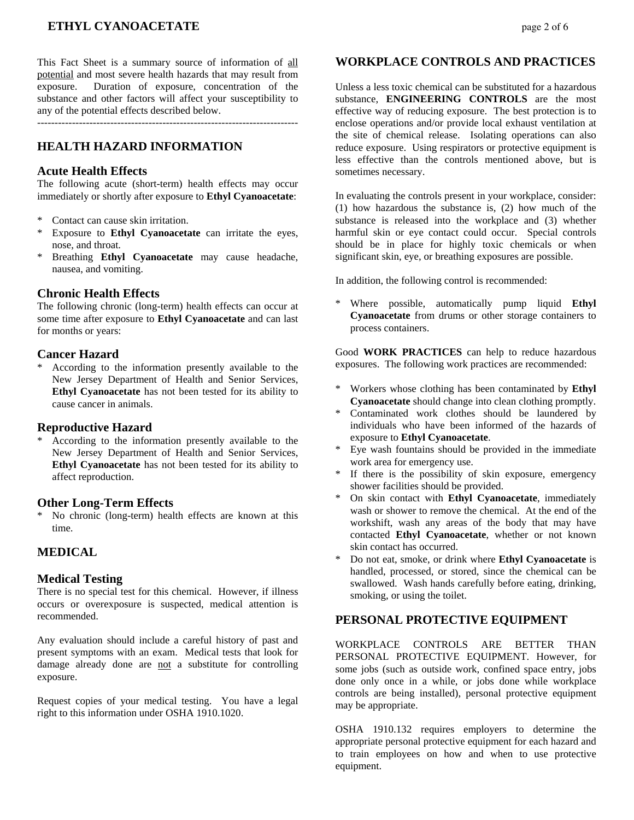## **ETHYL CYANOACETATE** page 2 of 6

This Fact Sheet is a summary source of information of all potential and most severe health hazards that may result from exposure. Duration of exposure, concentration of the substance and other factors will affect your susceptibility to any of the potential effects described below.

---------------------------------------------------------------------------

## **HEALTH HAZARD INFORMATION**

#### **Acute Health Effects**

The following acute (short-term) health effects may occur immediately or shortly after exposure to **Ethyl Cyanoacetate**:

- Contact can cause skin irritation.
- \* Exposure to **Ethyl Cyanoacetate** can irritate the eyes, nose, and throat.
- \* Breathing **Ethyl Cyanoacetate** may cause headache, nausea, and vomiting.

#### **Chronic Health Effects**

The following chronic (long-term) health effects can occur at some time after exposure to **Ethyl Cyanoacetate** and can last for months or years:

#### **Cancer Hazard**

According to the information presently available to the New Jersey Department of Health and Senior Services, **Ethyl Cyanoacetate** has not been tested for its ability to cause cancer in animals.

#### **Reproductive Hazard**

According to the information presently available to the New Jersey Department of Health and Senior Services, **Ethyl Cyanoacetate** has not been tested for its ability to affect reproduction.

#### **Other Long-Term Effects**

\* No chronic (long-term) health effects are known at this time.

#### **MEDICAL**

#### **Medical Testing**

There is no special test for this chemical. However, if illness occurs or overexposure is suspected, medical attention is recommended.

Any evaluation should include a careful history of past and present symptoms with an exam. Medical tests that look for damage already done are not a substitute for controlling exposure.

Request copies of your medical testing. You have a legal right to this information under OSHA 1910.1020.

#### **WORKPLACE CONTROLS AND PRACTICES**

Unless a less toxic chemical can be substituted for a hazardous substance, **ENGINEERING CONTROLS** are the most effective way of reducing exposure. The best protection is to enclose operations and/or provide local exhaust ventilation at the site of chemical release. Isolating operations can also reduce exposure. Using respirators or protective equipment is less effective than the controls mentioned above, but is sometimes necessary.

In evaluating the controls present in your workplace, consider: (1) how hazardous the substance is, (2) how much of the substance is released into the workplace and (3) whether harmful skin or eye contact could occur. Special controls should be in place for highly toxic chemicals or when significant skin, eye, or breathing exposures are possible.

In addition, the following control is recommended:

Where possible, automatically pump liquid **Ethyl Cyanoacetate** from drums or other storage containers to process containers.

Good **WORK PRACTICES** can help to reduce hazardous exposures. The following work practices are recommended:

- \* Workers whose clothing has been contaminated by **Ethyl Cyanoacetate** should change into clean clothing promptly.
- \* Contaminated work clothes should be laundered by individuals who have been informed of the hazards of exposure to **Ethyl Cyanoacetate**.
- Eye wash fountains should be provided in the immediate work area for emergency use.
- If there is the possibility of skin exposure, emergency shower facilities should be provided.
- \* On skin contact with **Ethyl Cyanoacetate**, immediately wash or shower to remove the chemical. At the end of the workshift, wash any areas of the body that may have contacted **Ethyl Cyanoacetate**, whether or not known skin contact has occurred.
- \* Do not eat, smoke, or drink where **Ethyl Cyanoacetate** is handled, processed, or stored, since the chemical can be swallowed. Wash hands carefully before eating, drinking, smoking, or using the toilet.

#### **PERSONAL PROTECTIVE EQUIPMENT**

WORKPLACE CONTROLS ARE BETTER THAN PERSONAL PROTECTIVE EQUIPMENT. However, for some jobs (such as outside work, confined space entry, jobs done only once in a while, or jobs done while workplace controls are being installed), personal protective equipment may be appropriate.

OSHA 1910.132 requires employers to determine the appropriate personal protective equipment for each hazard and to train employees on how and when to use protective equipment.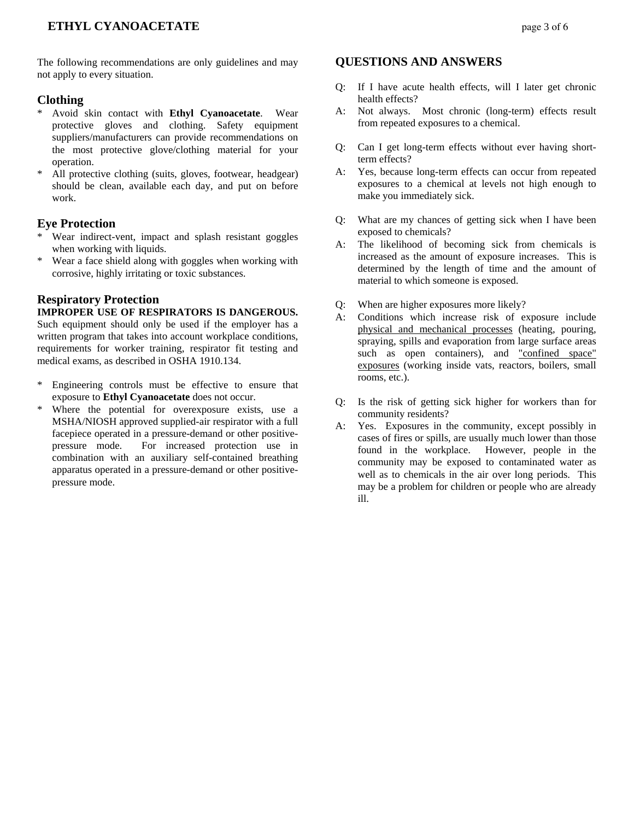The following recommendations are only guidelines and may not apply to every situation.

#### **Clothing**

- \* Avoid skin contact with **Ethyl Cyanoacetate**. Wear protective gloves and clothing. Safety equipment suppliers/manufacturers can provide recommendations on the most protective glove/clothing material for your operation.
- All protective clothing (suits, gloves, footwear, headgear) should be clean, available each day, and put on before work.

#### **Eye Protection**

- Wear indirect-vent, impact and splash resistant goggles when working with liquids.
- \* Wear a face shield along with goggles when working with corrosive, highly irritating or toxic substances.

## **Respiratory Protection**

#### **IMPROPER USE OF RESPIRATORS IS DANGEROUS.**

Such equipment should only be used if the employer has a written program that takes into account workplace conditions, requirements for worker training, respirator fit testing and medical exams, as described in OSHA 1910.134.

- \* Engineering controls must be effective to ensure that exposure to **Ethyl Cyanoacetate** does not occur.
- \* Where the potential for overexposure exists, use a MSHA/NIOSH approved supplied-air respirator with a full facepiece operated in a pressure-demand or other positivepressure mode. For increased protection use in combination with an auxiliary self-contained breathing apparatus operated in a pressure-demand or other positivepressure mode.

#### **QUESTIONS AND ANSWERS**

- Q: If I have acute health effects, will I later get chronic health effects?
- A: Not always. Most chronic (long-term) effects result from repeated exposures to a chemical.
- Q: Can I get long-term effects without ever having shortterm effects?
- A: Yes, because long-term effects can occur from repeated exposures to a chemical at levels not high enough to make you immediately sick.
- Q: What are my chances of getting sick when I have been exposed to chemicals?
- A: The likelihood of becoming sick from chemicals is increased as the amount of exposure increases. This is determined by the length of time and the amount of material to which someone is exposed.
- Q: When are higher exposures more likely?
- A: Conditions which increase risk of exposure include physical and mechanical processes (heating, pouring, spraying, spills and evaporation from large surface areas such as open containers), and "confined space" exposures (working inside vats, reactors, boilers, small rooms, etc.).
- Q: Is the risk of getting sick higher for workers than for community residents?
- A: Yes. Exposures in the community, except possibly in cases of fires or spills, are usually much lower than those found in the workplace. However, people in the community may be exposed to contaminated water as well as to chemicals in the air over long periods. This may be a problem for children or people who are already ill.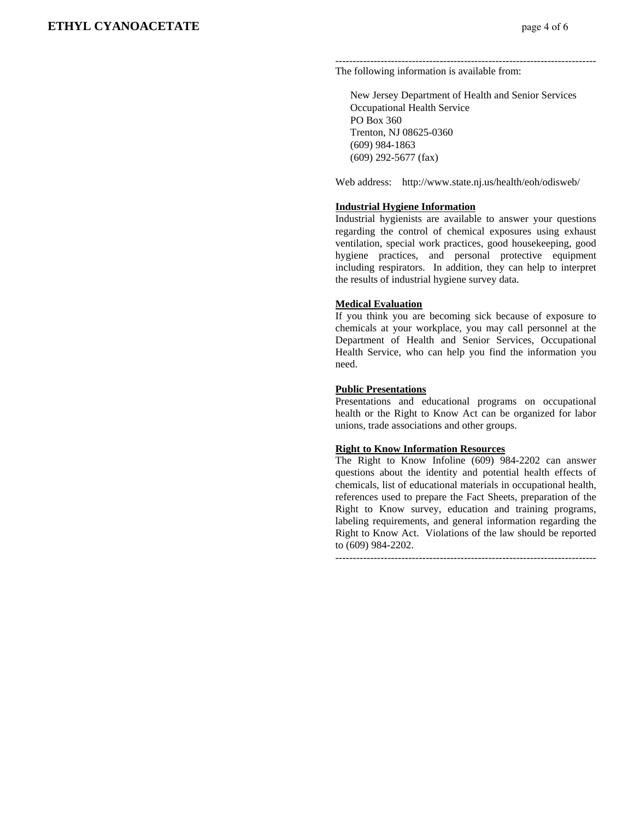--------------------------------------------------------------------------- The following information is available from:

 New Jersey Department of Health and Senior Services Occupational Health Service PO Box 360 Trenton, NJ 08625-0360 (609) 984-1863 (609) 292-5677 (fax)

Web address: http://www.state.nj.us/health/eoh/odisweb/

#### **Industrial Hygiene Information**

Industrial hygienists are available to answer your questions regarding the control of chemical exposures using exhaust ventilation, special work practices, good housekeeping, good hygiene practices, and personal protective equipment including respirators. In addition, they can help to interpret the results of industrial hygiene survey data.

#### **Medical Evaluation**

If you think you are becoming sick because of exposure to chemicals at your workplace, you may call personnel at the Department of Health and Senior Services, Occupational Health Service, who can help you find the information you need.

#### **Public Presentations**

Presentations and educational programs on occupational health or the Right to Know Act can be organized for labor unions, trade associations and other groups.

#### **Right to Know Information Resources**

The Right to Know Infoline (609) 984-2202 can answer questions about the identity and potential health effects of chemicals, list of educational materials in occupational health, references used to prepare the Fact Sheets, preparation of the Right to Know survey, education and training programs, labeling requirements, and general information regarding the Right to Know Act. Violations of the law should be reported to (609) 984-2202.

---------------------------------------------------------------------------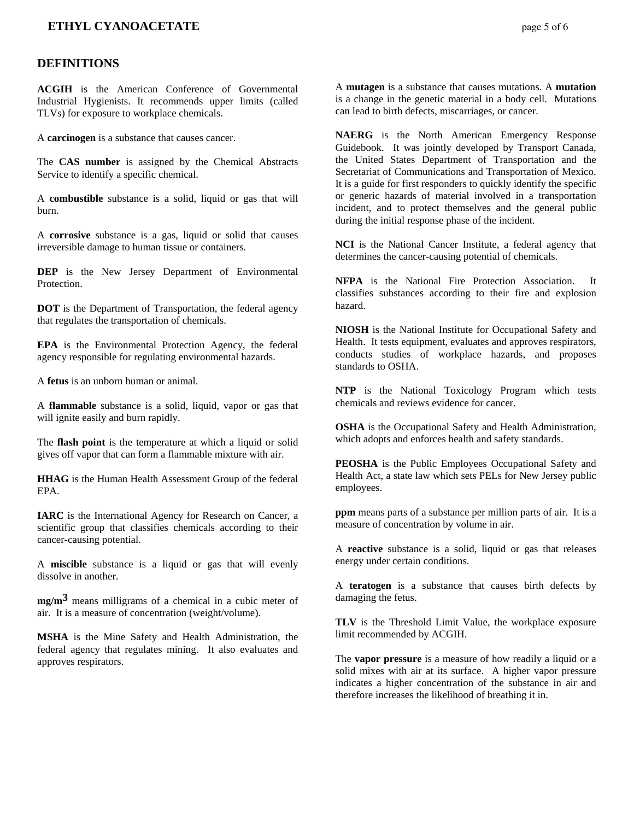### **ETHYL CYANOACETATE** page 5 of 6

#### **DEFINITIONS**

**ACGIH** is the American Conference of Governmental Industrial Hygienists. It recommends upper limits (called TLVs) for exposure to workplace chemicals.

A **carcinogen** is a substance that causes cancer.

The **CAS number** is assigned by the Chemical Abstracts Service to identify a specific chemical.

A **combustible** substance is a solid, liquid or gas that will burn.

A **corrosive** substance is a gas, liquid or solid that causes irreversible damage to human tissue or containers.

**DEP** is the New Jersey Department of Environmental Protection.

**DOT** is the Department of Transportation, the federal agency that regulates the transportation of chemicals.

**EPA** is the Environmental Protection Agency, the federal agency responsible for regulating environmental hazards.

A **fetus** is an unborn human or animal.

A **flammable** substance is a solid, liquid, vapor or gas that will ignite easily and burn rapidly.

The **flash point** is the temperature at which a liquid or solid gives off vapor that can form a flammable mixture with air.

**HHAG** is the Human Health Assessment Group of the federal EPA.

**IARC** is the International Agency for Research on Cancer, a scientific group that classifies chemicals according to their cancer-causing potential.

A **miscible** substance is a liquid or gas that will evenly dissolve in another.

**mg/m3** means milligrams of a chemical in a cubic meter of air. It is a measure of concentration (weight/volume).

**MSHA** is the Mine Safety and Health Administration, the federal agency that regulates mining. It also evaluates and approves respirators.

A **mutagen** is a substance that causes mutations. A **mutation** is a change in the genetic material in a body cell. Mutations can lead to birth defects, miscarriages, or cancer.

**NAERG** is the North American Emergency Response Guidebook. It was jointly developed by Transport Canada, the United States Department of Transportation and the Secretariat of Communications and Transportation of Mexico. It is a guide for first responders to quickly identify the specific or generic hazards of material involved in a transportation incident, and to protect themselves and the general public during the initial response phase of the incident.

**NCI** is the National Cancer Institute, a federal agency that determines the cancer-causing potential of chemicals.

**NFPA** is the National Fire Protection Association. It classifies substances according to their fire and explosion hazard.

**NIOSH** is the National Institute for Occupational Safety and Health. It tests equipment, evaluates and approves respirators, conducts studies of workplace hazards, and proposes standards to OSHA.

**NTP** is the National Toxicology Program which tests chemicals and reviews evidence for cancer.

**OSHA** is the Occupational Safety and Health Administration, which adopts and enforces health and safety standards.

**PEOSHA** is the Public Employees Occupational Safety and Health Act, a state law which sets PELs for New Jersey public employees.

**ppm** means parts of a substance per million parts of air. It is a measure of concentration by volume in air.

A **reactive** substance is a solid, liquid or gas that releases energy under certain conditions.

A **teratogen** is a substance that causes birth defects by damaging the fetus.

**TLV** is the Threshold Limit Value, the workplace exposure limit recommended by ACGIH.

The **vapor pressure** is a measure of how readily a liquid or a solid mixes with air at its surface. A higher vapor pressure indicates a higher concentration of the substance in air and therefore increases the likelihood of breathing it in.